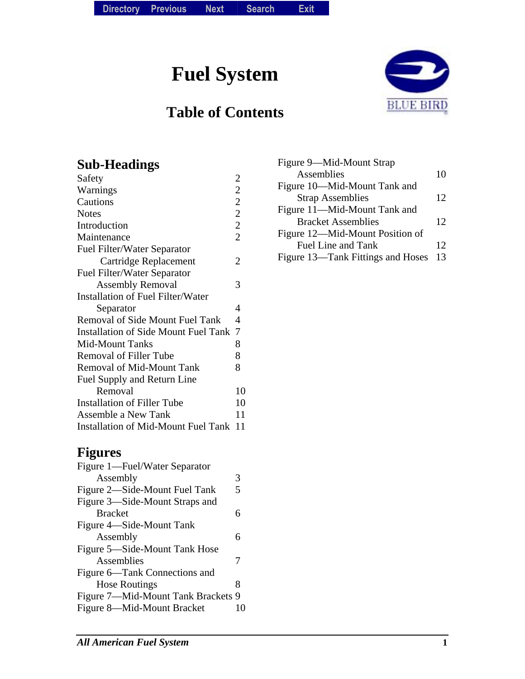**Fuel System** 

# **Table of Contents**



### **Sub-Headings**

| Safety                                      | $\overline{2}$ |
|---------------------------------------------|----------------|
| Warnings                                    | $\overline{c}$ |
| Cautions                                    | $\overline{2}$ |
| <b>Notes</b>                                | $\overline{2}$ |
| Introduction                                | $\overline{2}$ |
| Maintenance                                 | $\overline{2}$ |
| <b>Fuel Filter/Water Separator</b>          |                |
| Cartridge Replacement                       | 2              |
| <b>Fuel Filter/Water Separator</b>          |                |
| <b>Assembly Removal</b>                     | 3              |
| <b>Installation of Fuel Filter/Water</b>    |                |
| Separator                                   | 4              |
| <b>Removal of Side Mount Fuel Tank</b>      | 4              |
| <b>Installation of Side Mount Fuel Tank</b> | $\overline{7}$ |
| <b>Mid-Mount Tanks</b>                      | 8              |
| <b>Removal of Filler Tube</b>               | 8              |
| <b>Removal of Mid-Mount Tank</b>            | 8              |
| Fuel Supply and Return Line                 |                |
| Removal                                     | 10             |
| <b>Installation of Filler Tube</b>          | 10             |
| Assemble a New Tank                         | 11             |
| <b>Installation of Mid-Mount Fuel Tank</b>  | 11             |

## **Figures**

| Figure 1—Fuel/Water Separator      |   |
|------------------------------------|---|
| Assembly                           | 3 |
| Figure 2—Side-Mount Fuel Tank      | 5 |
| Figure 3—Side-Mount Straps and     |   |
| <b>Bracket</b>                     | 6 |
| Figure 4—Side-Mount Tank           |   |
| Assembly                           | 6 |
| Figure 5—Side-Mount Tank Hose      |   |
| Assemblies                         | 7 |
| Figure 6—Tank Connections and      |   |
| <b>Hose Routings</b>               | 8 |
| Figure 7—Mid-Mount Tank Brackets 9 |   |
| Figure 8—Mid-Mount Bracket         |   |
|                                    |   |

| Figure 9—Mid-Mount Strap          |    |
|-----------------------------------|----|
| Assemblies                        | 10 |
| Figure 10—Mid-Mount Tank and      |    |
| <b>Strap Assemblies</b>           | 12 |
| Figure 11—Mid-Mount Tank and      |    |
| <b>Bracket Assemblies</b>         | 12 |
| Figure 12—Mid-Mount Position of   |    |
| Fuel Line and Tank                | 12 |
| Figure 13—Tank Fittings and Hoses | 13 |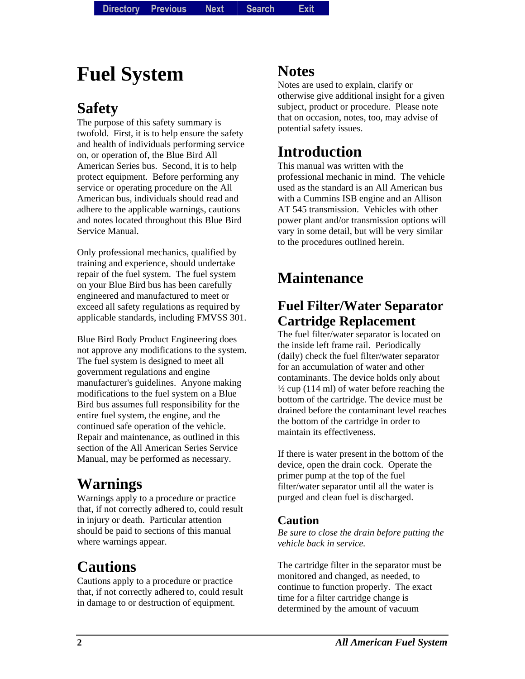# **Fuel System**

## **Safety**

The purpose of this safety summary is twofold. First, it is to help ensure the safety and health of individuals performing service on, or operation of, the Blue Bird All American Series bus. Second, it is to help protect equipment. Before performing any service or operating procedure on the All American bus, individuals should read and adhere to the applicable warnings, cautions and notes located throughout this Blue Bird Service Manual.

Only professional mechanics, qualified by training and experience, should undertake repair of the fuel system. The fuel system on your Blue Bird bus has been carefully engineered and manufactured to meet or exceed all safety regulations as required by applicable standards, including FMVSS 301.

Blue Bird Body Product Engineering does not approve any modifications to the system. The fuel system is designed to meet all government regulations and engine manufacturer's guidelines. Anyone making modifications to the fuel system on a Blue Bird bus assumes full responsibility for the entire fuel system, the engine, and the continued safe operation of the vehicle. Repair and maintenance, as outlined in this section of the All American Series Service Manual, may be performed as necessary.

# **Warnings**

Warnings apply to a procedure or practice that, if not correctly adhered to, could result in injury or death. Particular attention should be paid to sections of this manual where warnings appear.

# **Cautions**

Cautions apply to a procedure or practice that, if not correctly adhered to, could result in damage to or destruction of equipment.

### **Notes**

Notes are used to explain, clarify or otherwise give additional insight for a given subject, product or procedure. Please note that on occasion, notes, too, may advise of potential safety issues.

# **Introduction**

This manual was written with the professional mechanic in mind. The vehicle used as the standard is an All American bus with a Cummins ISB engine and an Allison AT 545 transmission. Vehicles with other power plant and/or transmission options will vary in some detail, but will be very similar to the procedures outlined herein.

# **Maintenance**

### **Fuel Filter/Water Separator Cartridge Replacement**

The fuel filter/water separator is located on the inside left frame rail. Periodically (daily) check the fuel filter/water separator for an accumulation of water and other contaminants. The device holds only about  $\frac{1}{2}$  cup (114 ml) of water before reaching the bottom of the cartridge. The device must be drained before the contaminant level reaches the bottom of the cartridge in order to maintain its effectiveness.

If there is water present in the bottom of the device, open the drain cock. Operate the primer pump at the top of the fuel filter/water separator until all the water is purged and clean fuel is discharged.

#### **Caution**

*Be sure to close the drain before putting the vehicle back in service.* 

The cartridge filter in the separator must be monitored and changed, as needed, to continue to function properly. The exact time for a filter cartridge change is determined by the amount of vacuum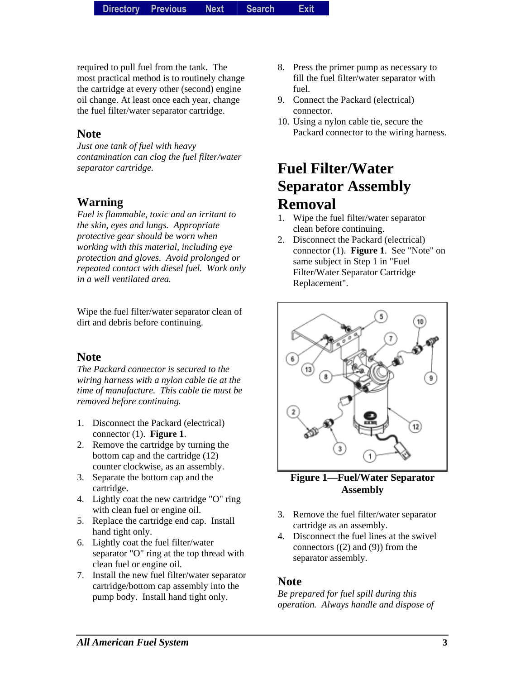required to pull fuel from the tank. The most practical method is to routinely change the cartridge at every other (second) engine oil change. At least once each year, change the fuel filter/water separator cartridge.

#### **Note**

*Just one tank of fuel with heavy contamination can clog the fuel filter/water separator cartridge.* 

#### **Warning**

*Fuel is flammable, toxic and an irritant to the skin, eyes and lungs. Appropriate protective gear should be worn when working with this material, including eye protection and gloves. Avoid prolonged or repeated contact with diesel fuel. Work only in a well ventilated area.* 

Wipe the fuel filter/water separator clean of dirt and debris before continuing.

#### **Note**

*The Packard connector is secured to the wiring harness with a nylon cable tie at the time of manufacture. This cable tie must be removed before continuing.* 

- 1. Disconnect the Packard (electrical) connector (1). **Figure 1**.
- 2. Remove the cartridge by turning the bottom cap and the cartridge (12) counter clockwise, as an assembly.
- 3. Separate the bottom cap and the cartridge.
- 4. Lightly coat the new cartridge "O" ring with clean fuel or engine oil.
- 5. Replace the cartridge end cap. Install hand tight only.
- 6. Lightly coat the fuel filter/water separator "O" ring at the top thread with clean fuel or engine oil.
- 7. Install the new fuel filter/water separator cartridge/bottom cap assembly into the pump body. Install hand tight only.
- 8. Press the primer pump as necessary to fill the fuel filter/water separator with fuel.
- 9. Connect the Packard (electrical) connector.
- 10. Using a nylon cable tie, secure the Packard connector to the wiring harness.

# **Fuel Filter/Water Separator Assembly Removal**

- 1. Wipe the fuel filter/water separator clean before continuing.
- 2. Disconnect the Packard (electrical) connector (1). **Figure 1**. See "Note" on same subject in Step 1 in "Fuel Filter/Water Separator Cartridge Replacement".



**Figure 1—Fuel/Water Separator Assembly** 

- 3. Remove the fuel filter/water separator cartridge as an assembly.
- 4. Disconnect the fuel lines at the swivel connectors  $((2)$  and  $(9)$ ) from the separator assembly.

#### **Note**

*Be prepared for fuel spill during this operation. Always handle and dispose of*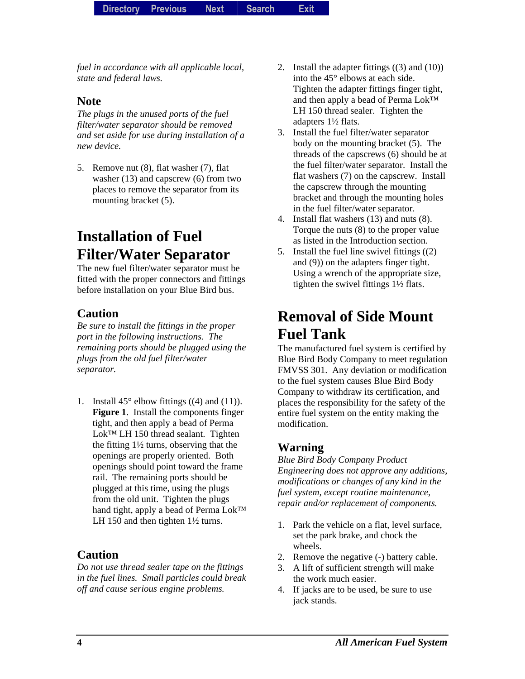*fuel in accordance with all applicable local, state and federal laws.* 

#### **Note**

*The plugs in the unused ports of the fuel filter/water separator should be removed and set aside for use during installation of a new device.* 

5. Remove nut (8), flat washer (7), flat washer (13) and capscrew (6) from two places to remove the separator from its mounting bracket (5).

# **Installation of Fuel Filter/Water Separator**

The new fuel filter/water separator must be fitted with the proper connectors and fittings before installation on your Blue Bird bus.

#### **Caution**

*Be sure to install the fittings in the proper port in the following instructions. The remaining ports should be plugged using the plugs from the old fuel filter/water separator.* 

1. Install  $45^\circ$  elbow fittings  $((4)$  and  $(11)$ ). **Figure 1**. Install the components finger tight, and then apply a bead of Perma Lok™ LH 150 thread sealant. Tighten the fitting 1½ turns, observing that the openings are properly oriented. Both openings should point toward the frame rail. The remaining ports should be plugged at this time, using the plugs from the old unit. Tighten the plugs hand tight, apply a bead of Perma Lok™ LH 150 and then tighten  $1\frac{1}{2}$  turns.

#### **Caution**

*Do not use thread sealer tape on the fittings in the fuel lines. Small particles could break off and cause serious engine problems.* 

- 2. Install the adapter fittings ((3) and (10)) into the 45° elbows at each side. Tighten the adapter fittings finger tight, and then apply a bead of Perma Lok™ LH 150 thread sealer. Tighten the adapters 1½ flats.
- 3. Install the fuel filter/water separator body on the mounting bracket (5). The threads of the capscrews (6) should be at the fuel filter/water separator. Install the flat washers (7) on the capscrew. Install the capscrew through the mounting bracket and through the mounting holes in the fuel filter/water separator.
- 4. Install flat washers (13) and nuts (8). Torque the nuts (8) to the proper value as listed in the Introduction section.
- 5. Install the fuel line swivel fittings ((2) and (9)) on the adapters finger tight. Using a wrench of the appropriate size, tighten the swivel fittings 1½ flats.

## **Removal of Side Mount Fuel Tank**

The manufactured fuel system is certified by Blue Bird Body Company to meet regulation FMVSS 301. Any deviation or modification to the fuel system causes Blue Bird Body Company to withdraw its certification, and places the responsibility for the safety of the entire fuel system on the entity making the modification.

#### **Warning**

*Blue Bird Body Company Product Engineering does not approve any additions, modifications or changes of any kind in the fuel system, except routine maintenance, repair and/or replacement of components.* 

- 1. Park the vehicle on a flat, level surface, set the park brake, and chock the wheels.
- 2. Remove the negative (-) battery cable.
- 3. A lift of sufficient strength will make the work much easier.
- 4. If jacks are to be used, be sure to use jack stands.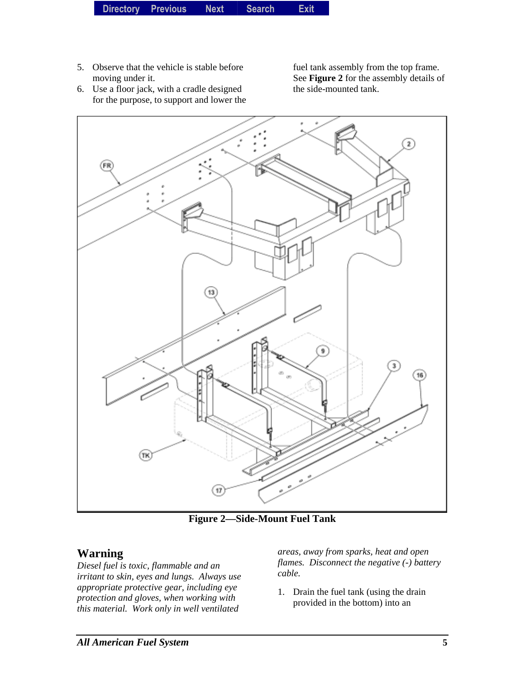5. Observe that the vehicle is stable before moving under it. 6. Use a floor jack, with a cradle designed

for the purpose, to support and lower the

fuel tank assembly from the top frame. See **Figure 2** for the assembly details of the side-mounted tank.

 $\overline{2}$ (FR) 13 3 (тк)  $17)$ 

**Figure 2—Side-Mount Fuel Tank** 

### **Warning**

*Diesel fuel is toxic, flammable and an irritant to skin, eyes and lungs. Always use appropriate protective gear, including eye protection and gloves, when working with this material. Work only in well ventilated* 

*areas, away from sparks, heat and open flames. Disconnect the negative (-) battery cable.* 

1. Drain the fuel tank (using the drain provided in the bottom) into an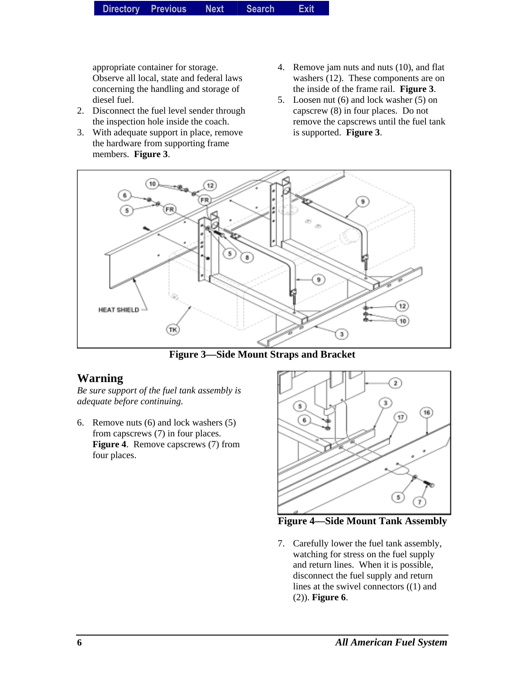appropriate container for storage. Observe all local, state and federal laws concerning the handling and storage of diesel fuel.

- 2. Disconnect the fuel level sender through the inspection hole inside the coach.
- 3. With adequate support in place, remove the hardware from supporting frame members. **Figure 3**.
- 4. Remove jam nuts and nuts (10), and flat washers (12). These components are on the inside of the frame rail. **Figure 3**.
- 5. Loosen nut (6) and lock washer (5) on capscrew (8) in four places. Do not remove the capscrews until the fuel tank is supported. **Figure 3**.



**Figure 3—Side Mount Straps and Bracket** 

### **Warning**

*Be sure support of the fuel tank assembly is adequate before continuing.* 

6. Remove nuts (6) and lock washers (5) from capscrews (7) in four places. **Figure 4**. Remove capscrews (7) from four places.



**Figure 4—Side Mount Tank Assembly** 

7. Carefully lower the fuel tank assembly, watching for stress on the fuel supply and return lines. When it is possible, disconnect the fuel supply and return lines at the swivel connectors ((1) and (2)). **Figure 6**.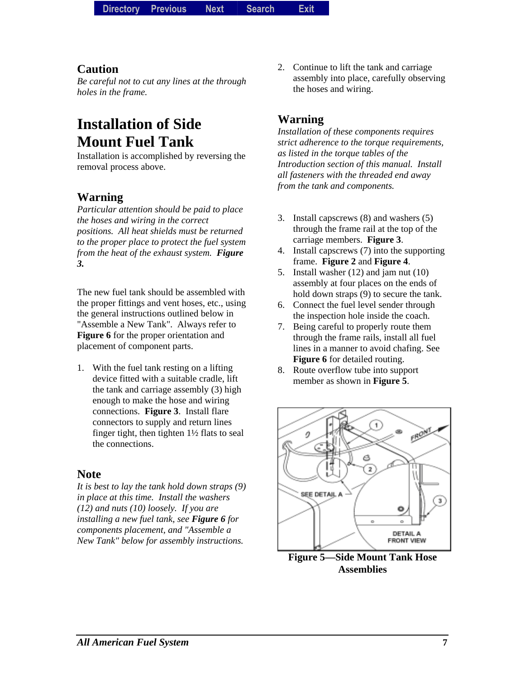#### **Caution**

*Be careful not to cut any lines at the through holes in the frame.* 

# **Installation of Side Mount Fuel Tank**

Installation is accomplished by reversing the removal process above.

#### **Warning**

*Particular attention should be paid to place the hoses and wiring in the correct positions. All heat shields must be returned to the proper place to protect the fuel system from the heat of the exhaust system. Figure 3.* 

The new fuel tank should be assembled with the proper fittings and vent hoses, etc., using the general instructions outlined below in "Assemble a New Tank". Always refer to **Figure 6** for the proper orientation and placement of component parts.

1. With the fuel tank resting on a lifting device fitted with a suitable cradle, lift the tank and carriage assembly (3) high enough to make the hose and wiring connections. **Figure 3**. Install flare connectors to supply and return lines finger tight, then tighten 1½ flats to seal the connections.

#### **Note**

*It is best to lay the tank hold down straps (9) in place at this time. Install the washers (12) and nuts (10) loosely. If you are installing a new fuel tank, see Figure 6 for components placement, and "Assemble a New Tank" below for assembly instructions.* 

2. Continue to lift the tank and carriage assembly into place, carefully observing the hoses and wiring.

#### **Warning**

*Installation of these components requires strict adherence to the torque requirements, as listed in the torque tables of the Introduction section of this manual. Install all fasteners with the threaded end away from the tank and components.* 

- 3. Install capscrews (8) and washers (5) through the frame rail at the top of the carriage members. **Figure 3**.
- 4. Install capscrews (7) into the supporting frame. **Figure 2** and **Figure 4**.
- 5. Install washer (12) and jam nut (10) assembly at four places on the ends of hold down straps (9) to secure the tank.
- 6. Connect the fuel level sender through the inspection hole inside the coach.
- 7. Being careful to properly route them through the frame rails, install all fuel lines in a manner to avoid chafing. See **Figure 6** for detailed routing.
- 8. Route overflow tube into support member as shown in **Figure 5**.



**Figure 5—Side Mount Tank Hose Assemblies**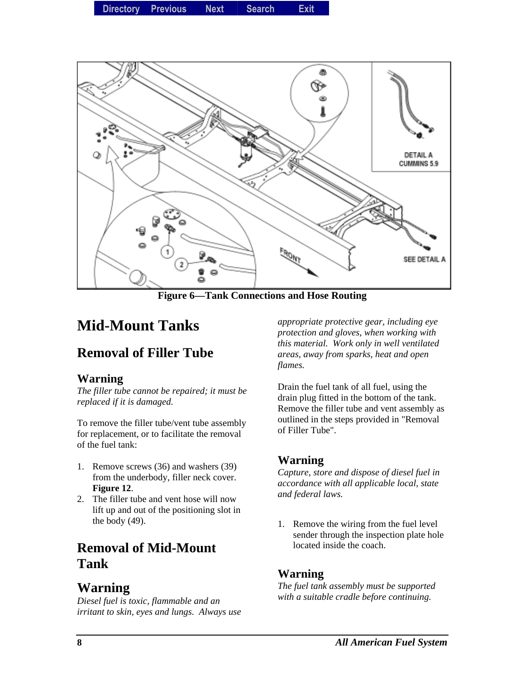

**Figure 6—Tank Connections and Hose Routing** 

### **Mid-Mount Tanks**

### **Removal of Filler Tube**

#### **Warning**

*The filler tube cannot be repaired; it must be replaced if it is damaged.* 

To remove the filler tube/vent tube assembly for replacement, or to facilitate the removal of the fuel tank:

- 1. Remove screws (36) and washers (39) from the underbody, filler neck cover. **Figure 12**.
- 2. The filler tube and vent hose will now lift up and out of the positioning slot in the body (49).

### **Removal of Mid-Mount Tank**

### **Warning**

*Diesel fuel is toxic, flammable and an irritant to skin, eyes and lungs. Always use* 

*appropriate protective gear, including eye protection and gloves, when working with this material. Work only in well ventilated areas, away from sparks, heat and open flames.* 

Drain the fuel tank of all fuel, using the drain plug fitted in the bottom of the tank. Remove the filler tube and vent assembly as outlined in the steps provided in "Removal of Filler Tube".

#### **Warning**

*Capture, store and dispose of diesel fuel in accordance with all applicable local, state and federal laws.* 

1. Remove the wiring from the fuel level sender through the inspection plate hole located inside the coach.

#### **Warning**

*The fuel tank assembly must be supported with a suitable cradle before continuing.*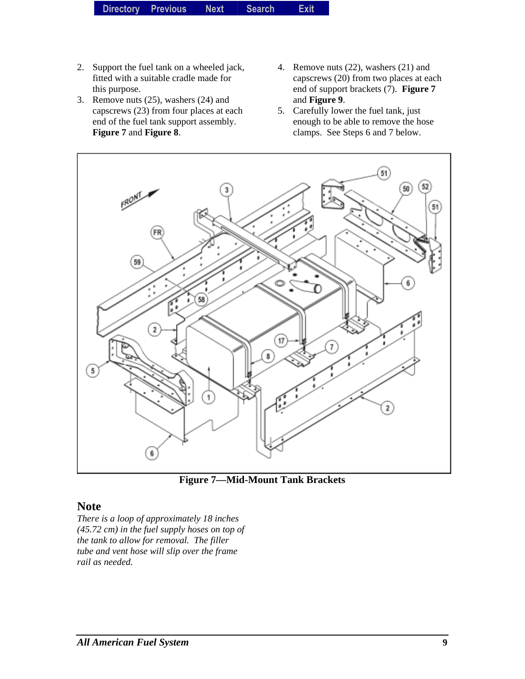- 2. Support the fuel tank on a wheeled jack, fitted with a suitable cradle made for this purpose.
- 3. Remove nuts (25), washers (24) and capscrews (23) from four places at each end of the fuel tank support assembly. **Figure 7** and **Figure 8**.
- 4. Remove nuts (22), washers (21) and capscrews (20) from two places at each end of support brackets (7). **Figure 7** and **Figure 9**.
- 5. Carefully lower the fuel tank, just enough to be able to remove the hose clamps. See Steps 6 and 7 below.



**Figure 7—Mid-Mount Tank Brackets** 

#### **Note**

*There is a loop of approximately 18 inches (45.72 cm) in the fuel supply hoses on top of the tank to allow for removal. The filler tube and vent hose will slip over the frame rail as needed.*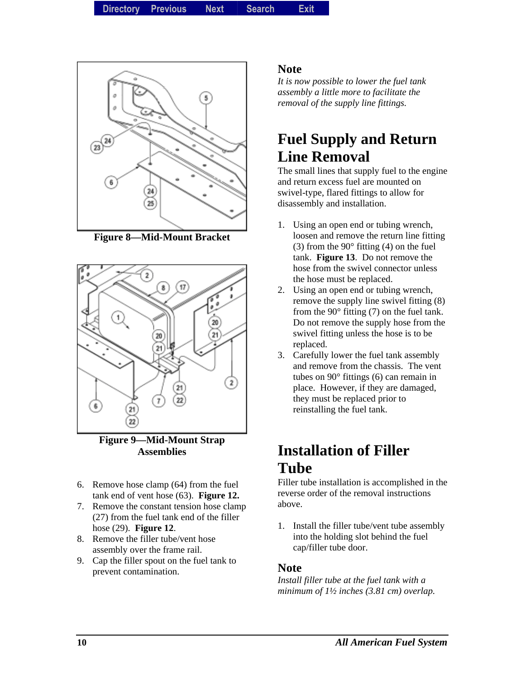**Directory Directory Previous** *Previous* **Next Search** *Search***Exit** *Exit*



**Figure 8—Mid-Mount Bracket** 



**Figure 9—Mid-Mount Strap Assemblies** 

- 6. Remove hose clamp (64) from the fuel tank end of vent hose (63). **Figure 12.**
- 7. Remove the constant tension hose clamp (27) from the fuel tank end of the filler hose (29). **Figure 12**.
- 8. Remove the filler tube/vent hose assembly over the frame rail.
- 9. Cap the filler spout on the fuel tank to prevent contamination.

#### **Note**

*It is now possible to lower the fuel tank assembly a little more to facilitate the removal of the supply line fittings.* 

## **Fuel Supply and Return Line Removal**

The small lines that supply fuel to the engine and return excess fuel are mounted on swivel-type, flared fittings to allow for disassembly and installation.

- 1. Using an open end or tubing wrench, loosen and remove the return line fitting (3) from the  $90^\circ$  fitting (4) on the fuel tank. **Figure 13**. Do not remove the hose from the swivel connector unless the hose must be replaced.
- 2. Using an open end or tubing wrench, remove the supply line swivel fitting (8) from the  $90^\circ$  fitting (7) on the fuel tank. Do not remove the supply hose from the swivel fitting unless the hose is to be replaced.
- 3. Carefully lower the fuel tank assembly and remove from the chassis. The vent tubes on 90° fittings (6) can remain in place. However, if they are damaged, they must be replaced prior to reinstalling the fuel tank.

### **Installation of Filler Tube**

Filler tube installation is accomplished in the reverse order of the removal instructions above.

1. Install the filler tube/vent tube assembly into the holding slot behind the fuel cap/filler tube door.

#### **Note**

*Install filler tube at the fuel tank with a minimum of 1½ inches (3.81 cm) overlap.*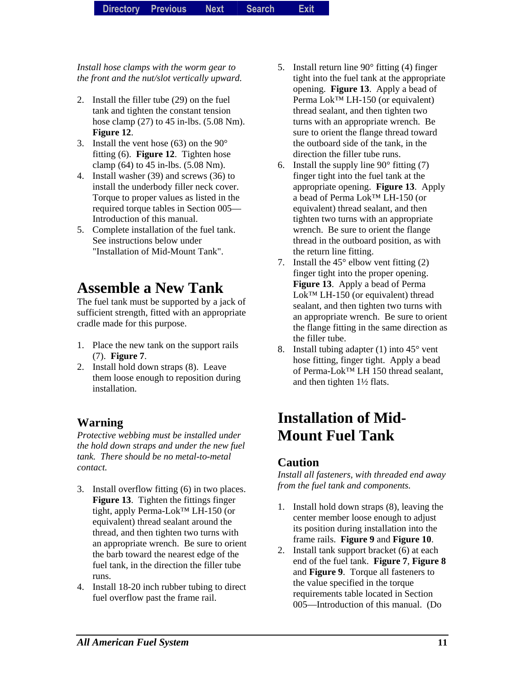*Install hose clamps with the worm gear to the front and the nut/slot vertically upward.*

- 2. Install the filler tube (29) on the fuel tank and tighten the constant tension hose clamp (27) to 45 in-lbs. (5.08 Nm). **Figure 12**.
- 3. Install the vent hose (63) on the 90° fitting (6). **Figure 12**. Tighten hose clamp (64) to 45 in-lbs. (5.08 Nm).
- 4. Install washer (39) and screws (36) to install the underbody filler neck cover. Torque to proper values as listed in the required torque tables in Section 005— Introduction of this manual.
- 5. Complete installation of the fuel tank. See instructions below under "Installation of Mid-Mount Tank".

### **Assemble a New Tank**

The fuel tank must be supported by a jack of sufficient strength, fitted with an appropriate cradle made for this purpose.

- 1. Place the new tank on the support rails (7). **Figure 7**.
- 2. Install hold down straps (8). Leave them loose enough to reposition during installation.

### **Warning**

*Protective webbing must be installed under the hold down straps and under the new fuel tank. There should be no metal-to-metal contact.* 

- 3. Install overflow fitting (6) in two places. **Figure 13**. Tighten the fittings finger tight, apply Perma-Lok™ LH-150 (or equivalent) thread sealant around the thread, and then tighten two turns with an appropriate wrench. Be sure to orient the barb toward the nearest edge of the fuel tank, in the direction the filler tube runs.
- 4. Install 18-20 inch rubber tubing to direct fuel overflow past the frame rail.
- 5. Install return line 90° fitting (4) finger tight into the fuel tank at the appropriate opening. **Figure 13**. Apply a bead of Perma Lok<sup>™</sup> LH-150 (or equivalent) thread sealant, and then tighten two turns with an appropriate wrench. Be sure to orient the flange thread toward the outboard side of the tank, in the direction the filler tube runs.
- 6. Install the supply line  $90^\circ$  fitting (7) finger tight into the fuel tank at the appropriate opening. **Figure 13**. Apply a bead of Perma Lok™ LH-150 (or equivalent) thread sealant, and then tighten two turns with an appropriate wrench. Be sure to orient the flange thread in the outboard position, as with the return line fitting.
- 7. Install the  $45^{\circ}$  elbow vent fitting (2) finger tight into the proper opening. **Figure 13**. Apply a bead of Perma Lok<sup>™</sup> LH-150 (or equivalent) thread sealant, and then tighten two turns with an appropriate wrench. Be sure to orient the flange fitting in the same direction as the filler tube.
- 8. Install tubing adapter (1) into  $45^{\circ}$  vent hose fitting, finger tight. Apply a bead of Perma-Lok™ LH 150 thread sealant, and then tighten 1½ flats.

# **Installation of Mid-Mount Fuel Tank**

#### **Caution**

*Install all fasteners, with threaded end away from the fuel tank and components.* 

- 1. Install hold down straps (8), leaving the center member loose enough to adjust its position during installation into the frame rails. **Figure 9** and **Figure 10**.
- 2. Install tank support bracket (6) at each end of the fuel tank. **Figure 7**, **Figure 8** and **Figure 9**. Torque all fasteners to the value specified in the torque requirements table located in Section 005—Introduction of this manual. (Do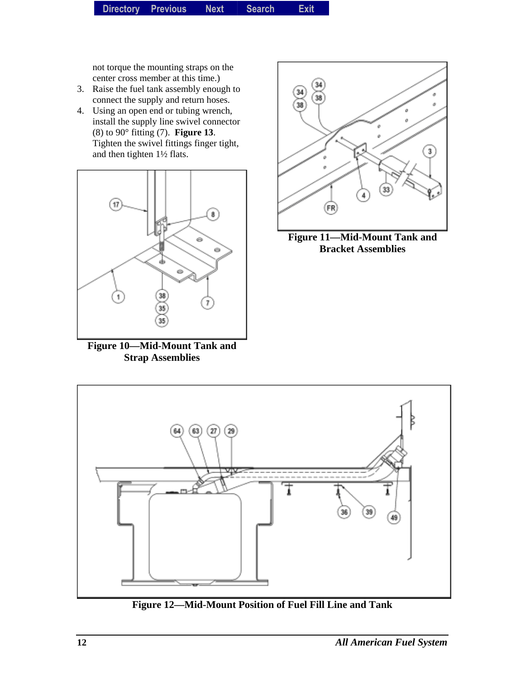not torque the mounting straps on the center cross member at this time.)

- 3. Raise the fuel tank assembly enough to connect the supply and return hoses.
- 4. Using an open end or tubing wrench, install the supply line swivel connector (8) to 90° fitting (7). **Figure 13**. Tighten the swivel fittings finger tight, and then tighten 1½ flats.



**Figure 10—Mid-Mount Tank and Strap Assemblies** 



**Figure 11—Mid-Mount Tank and Bracket Assemblies** 



**Figure 12—Mid-Mount Position of Fuel Fill Line and Tank**